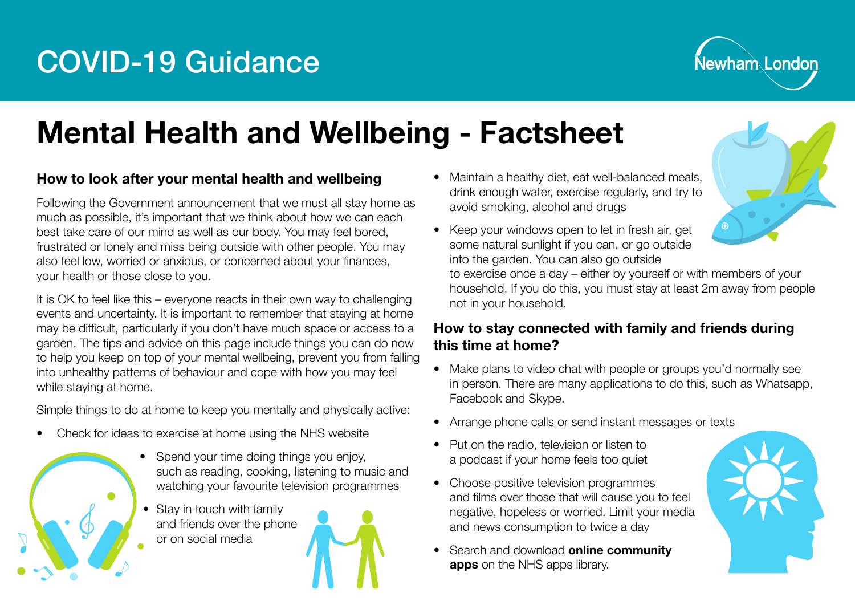# COVID-19 Guidance



## **Mental Health and Wellbeing - Factsheet**

#### **How to look after your mental health and wellbeing**

Following the Government announcement that we must all stay home as much as possible, it's important that we think about how we can each best take care of our mind as well as our body. You may feel bored, frustrated or lonely and miss being outside with other people. You may also feel low, worried or anxious, or concerned about your finances, your health or those close to you.

It is OK to feel like this – everyone reacts in their own way to challenging events and uncertainty. It is important to remember that staying at home may be difficult, particularly if you don't have much space or access to a garden. The tips and advice on this page include things you can do now to help you keep on top of your mental wellbeing, prevent you from falling into unhealthy patterns of behaviour and cope with how you may feel while staying at home.

Simple things to do at home to keep you mentally and physically active:

• Check for ideas to exercise at home using the NHS website



- Spend your time doing things you enjoy. such as reading, cooking, listening to music and watching your favourite television programmes
- Stay in touch with family and friends over the phone or on social media



• Maintain a healthy diet, eat well-balanced meals, drink enough water, exercise regularly, and try to avoid smoking, alcohol and drugs



• Keep your windows open to let in fresh air, get some natural sunlight if you can, or go outside into the garden. You can also go outside

to exercise once a day – either by yourself or with members of your household. If you do this, you must stay at least 2m away from people not in your household.

#### **How to stay connected with family and friends during this time at home?**

- Make plans to video chat with people or groups you'd normally see in person. There are many applications to do this, such as Whatsapp, Facebook and Skype.
- Arrange phone calls or send instant messages or texts
- Put on the radio, television or listen to a podcast if your home feels too quiet
- Choose positive television programmes and films over those that will cause you to feel negative, hopeless or worried. Limit your media and news consumption to twice a day
- Search and download **online community apps** on the NHS apps library.